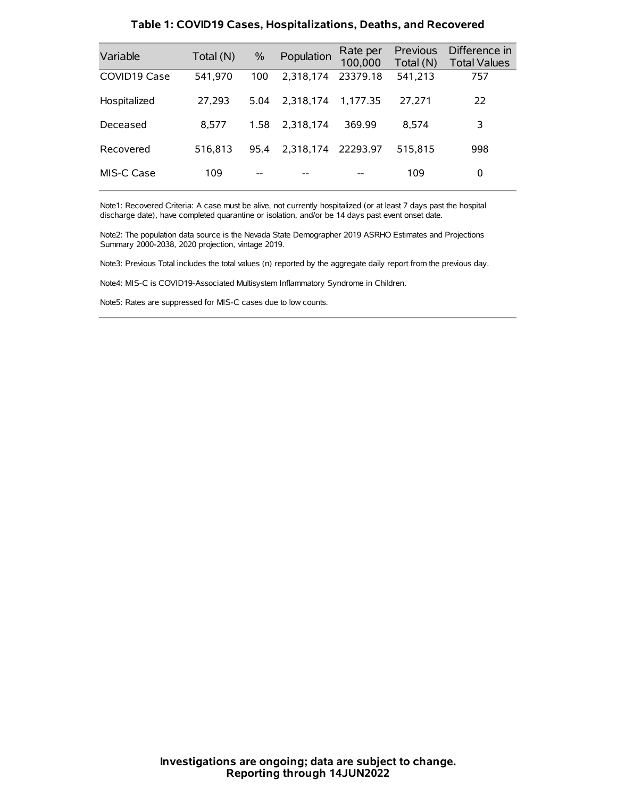| Variable     | Total (N) | $\%$ | Population         | Rate per<br>100,000 | Previous<br>Total (N) | Difference in<br><b>Total Values</b> |
|--------------|-----------|------|--------------------|---------------------|-----------------------|--------------------------------------|
| COVID19 Case | 541,970   | 100  | 2,318,174          | 23379.18            | 541,213               | 757                                  |
| Hospitalized | 27,293    | 5.04 | 2.318.174          | 1.177.35            | 27.271                | 22                                   |
| Deceased     | 8.577     | 1.58 | 2.318.174          | 369.99              | 8.574                 | 3                                    |
| Recovered    | 516.813   | 95.4 | 2.318.174 22293.97 |                     | 515.815               | 998                                  |
| MIS-C Case   | 109       | --   |                    |                     | 109                   | 0                                    |

#### **Table 1: COVID19 Cases, Hospitalizations, Deaths, and Recovered**

Note1: Recovered Criteria: A case must be alive, not currently hospitalized (or at least 7 days past the hospital discharge date), have completed quarantine or isolation, and/or be 14 days past event onset date.

Note2: The population data source is the Nevada State Demographer 2019 ASRHO Estimates and Projections Summary 2000-2038, 2020 projection, vintage 2019.

Note3: Previous Total includes the total values (n) reported by the aggregate daily report from the previous day.

Note4: MIS-C is COVID19-Associated Multisystem Inflammatory Syndrome in Children.

Note5: Rates are suppressed for MIS-C cases due to low counts.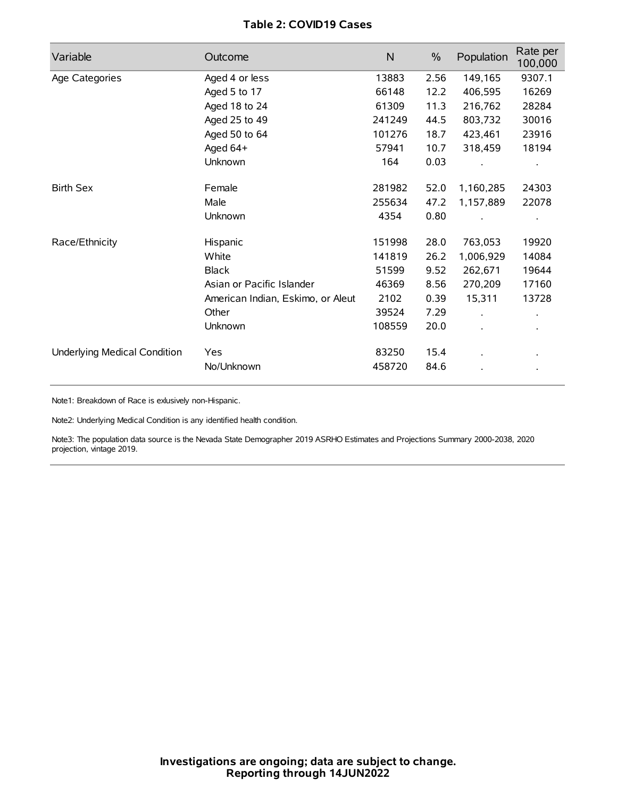# **Table 2: COVID19 Cases**

| Variable                     | Outcome                           | $\mathsf{N}$ | $\%$ | Population | Rate per<br>100,000 |
|------------------------------|-----------------------------------|--------------|------|------------|---------------------|
| Age Categories               | Aged 4 or less                    | 13883        | 2.56 | 149,165    | 9307.1              |
|                              | Aged 5 to 17                      | 66148        | 12.2 | 406,595    | 16269               |
|                              | Aged 18 to 24                     | 61309        | 11.3 | 216,762    | 28284               |
|                              | Aged 25 to 49                     | 241249       | 44.5 | 803,732    | 30016               |
|                              | Aged 50 to 64                     | 101276       | 18.7 | 423,461    | 23916               |
|                              | Aged 64+                          | 57941        | 10.7 | 318,459    | 18194               |
|                              | Unknown                           | 164          | 0.03 |            |                     |
| <b>Birth Sex</b>             | Female                            | 281982       | 52.0 | 1,160,285  | 24303               |
|                              | Male                              | 255634       | 47.2 | 1,157,889  | 22078               |
|                              | Unknown                           | 4354         | 0.80 |            |                     |
| Race/Ethnicity               | Hispanic                          | 151998       | 28.0 | 763,053    | 19920               |
|                              | White                             | 141819       | 26.2 | 1,006,929  | 14084               |
|                              | <b>Black</b>                      | 51599        | 9.52 | 262,671    | 19644               |
|                              | Asian or Pacific Islander         | 46369        | 8.56 | 270,209    | 17160               |
|                              | American Indian, Eskimo, or Aleut | 2102         | 0.39 | 15,311     | 13728               |
|                              | Other                             | 39524        | 7.29 |            |                     |
|                              | Unknown                           | 108559       | 20.0 |            |                     |
| Underlying Medical Condition | Yes                               | 83250        | 15.4 |            |                     |
|                              | No/Unknown                        | 458720       | 84.6 |            |                     |

Note1: Breakdown of Race is exlusively non-Hispanic.

Note2: Underlying Medical Condition is any identified health condition.

Note3: The population data source is the Nevada State Demographer 2019 ASRHO Estimates and Projections Summary 2000-2038, 2020 projection, vintage 2019.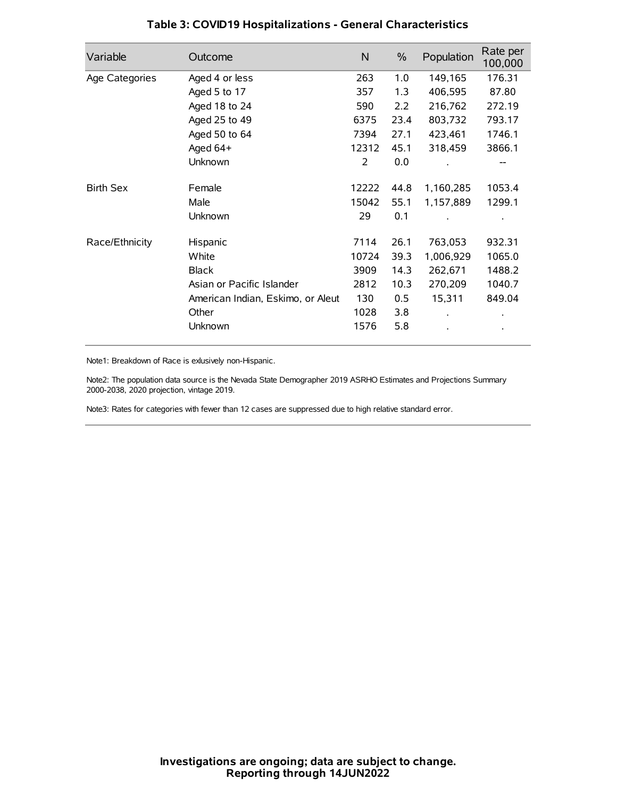| Variable         | Outcome                           | $\mathsf{N}$ | $\%$ | Population | Rate per<br>100,000 |
|------------------|-----------------------------------|--------------|------|------------|---------------------|
| Age Categories   | Aged 4 or less                    | 263          | 1.0  | 149,165    | 176.31              |
|                  | Aged 5 to 17                      | 357          | 1.3  | 406,595    | 87.80               |
|                  | Aged 18 to 24                     | 590          | 2.2  | 216,762    | 272.19              |
|                  | Aged 25 to 49                     | 6375         | 23.4 | 803,732    | 793.17              |
|                  | Aged 50 to 64                     | 7394         | 27.1 | 423,461    | 1746.1              |
|                  | Aged $64+$                        | 12312        | 45.1 | 318,459    | 3866.1              |
|                  | Unknown                           | 2            | 0.0  |            |                     |
| <b>Birth Sex</b> | Female                            | 12222        | 44.8 | 1,160,285  | 1053.4              |
|                  | Male                              | 15042        | 55.1 | 1,157,889  | 1299.1              |
|                  | Unknown                           | 29           | 0.1  |            |                     |
| Race/Ethnicity   | Hispanic                          | 7114         | 26.1 | 763,053    | 932.31              |
|                  | White                             | 10724        | 39.3 | 1,006,929  | 1065.0              |
|                  | <b>Black</b>                      | 3909         | 14.3 | 262,671    | 1488.2              |
|                  | Asian or Pacific Islander         | 2812         | 10.3 | 270,209    | 1040.7              |
|                  | American Indian, Eskimo, or Aleut | 130          | 0.5  | 15,311     | 849.04              |
|                  | Other                             | 1028         | 3.8  |            |                     |
|                  | Unknown                           | 1576         | 5.8  |            |                     |

# **Table 3: COVID19 Hospitalizations - General Characteristics**

Note1: Breakdown of Race is exlusively non-Hispanic.

Note2: The population data source is the Nevada State Demographer 2019 ASRHO Estimates and Projections Summary 2000-2038, 2020 projection, vintage 2019.

Note3: Rates for categories with fewer than 12 cases are suppressed due to high relative standard error.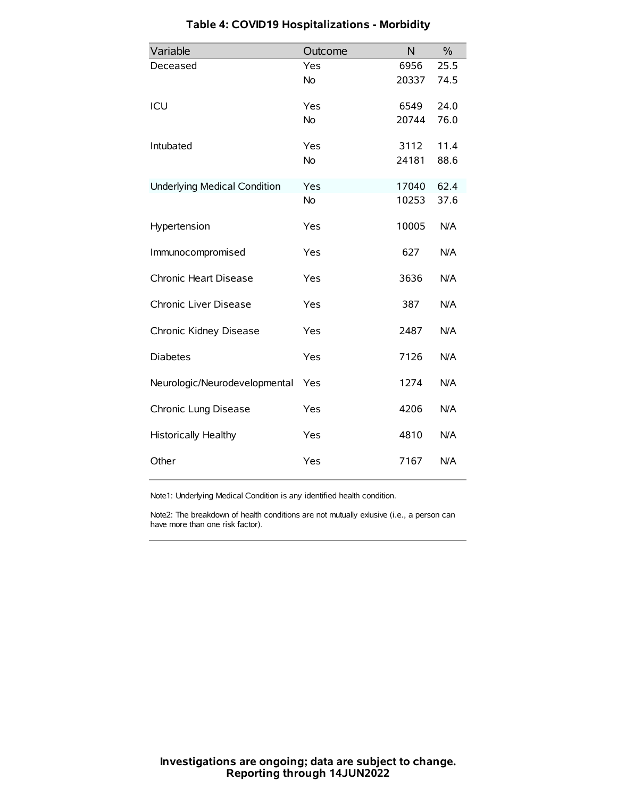| Variable                            | Outcome   | N     | $\frac{0}{0}$ |
|-------------------------------------|-----------|-------|---------------|
| Deceased                            | Yes       | 6956  | 25.5          |
|                                     | No        | 20337 | 74.5          |
| ICU                                 | Yes       | 6549  | 24.0          |
|                                     | <b>No</b> | 20744 | 76.0          |
| Intubated                           | Yes       | 3112  | 11.4          |
|                                     | No        | 24181 | 88.6          |
| <b>Underlying Medical Condition</b> | Yes       | 17040 | 62.4          |
|                                     | <b>No</b> | 10253 | 37.6          |
| Hypertension                        | Yes       | 10005 | N/A           |
| Immunocompromised                   | Yes       | 627   | N/A           |
| Chronic Heart Disease               | Yes       | 3636  | N/A           |
| Chronic Liver Disease               | Yes       | 387   | N/A           |
| Chronic Kidney Disease              | Yes       | 2487  | N/A           |
| <b>Diabetes</b>                     | Yes       | 7126  | N/A           |
| Neurologic/Neurodevelopmental       | Yes       | 1274  | N/A           |
| Chronic Lung Disease                | Yes       | 4206  | N/A           |
| Historically Healthy                | Yes       | 4810  | N/A           |
| Other                               | Yes       | 7167  | N/A           |

# **Table 4: COVID19 Hospitalizations - Morbidity**

Note1: Underlying Medical Condition is any identified health condition.

Note2: The breakdown of health conditions are not mutually exlusive (i.e., a person can have more than one risk factor).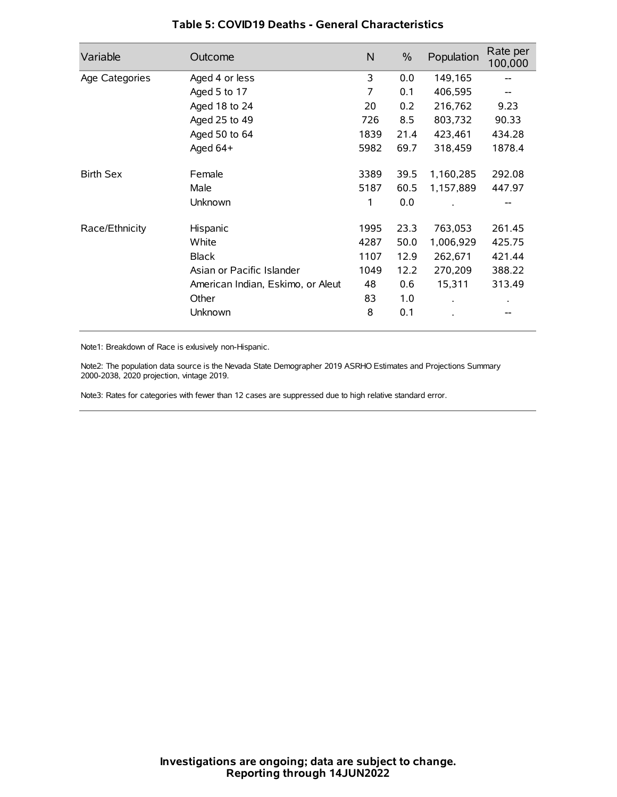| Variable         | Outcome                           | N    | $\frac{0}{0}$ | Population | Rate per<br>100,000 |
|------------------|-----------------------------------|------|---------------|------------|---------------------|
| Age Categories   | Aged 4 or less                    | 3    | 0.0           | 149,165    |                     |
|                  | Aged 5 to 17                      | 7    | 0.1           | 406,595    |                     |
|                  | Aged 18 to 24                     | 20   | 0.2           | 216,762    | 9.23                |
|                  | Aged 25 to 49                     | 726  | 8.5           | 803,732    | 90.33               |
|                  | Aged 50 to 64                     | 1839 | 21.4          | 423,461    | 434.28              |
|                  | Aged $64+$                        | 5982 | 69.7          | 318,459    | 1878.4              |
| <b>Birth Sex</b> | Female                            | 3389 | 39.5          | 1,160,285  | 292.08              |
|                  | Male                              | 5187 | 60.5          | 1,157,889  | 447.97              |
|                  | Unknown                           | 1    | 0.0           |            |                     |
| Race/Ethnicity   | Hispanic                          | 1995 | 23.3          | 763,053    | 261.45              |
|                  | White                             | 4287 | 50.0          | 1,006,929  | 425.75              |
|                  | <b>Black</b>                      | 1107 | 12.9          | 262,671    | 421.44              |
|                  | Asian or Pacific Islander         | 1049 | 12.2          | 270,209    | 388.22              |
|                  | American Indian, Eskimo, or Aleut | 48   | 0.6           | 15,311     | 313.49              |
|                  | Other                             | 83   | 1.0           |            |                     |
|                  | Unknown                           | 8    | 0.1           |            |                     |

### **Table 5: COVID19 Deaths - General Characteristics**

Note1: Breakdown of Race is exlusively non-Hispanic.

Note2: The population data source is the Nevada State Demographer 2019 ASRHO Estimates and Projections Summary 2000-2038, 2020 projection, vintage 2019.

Note3: Rates for categories with fewer than 12 cases are suppressed due to high relative standard error.